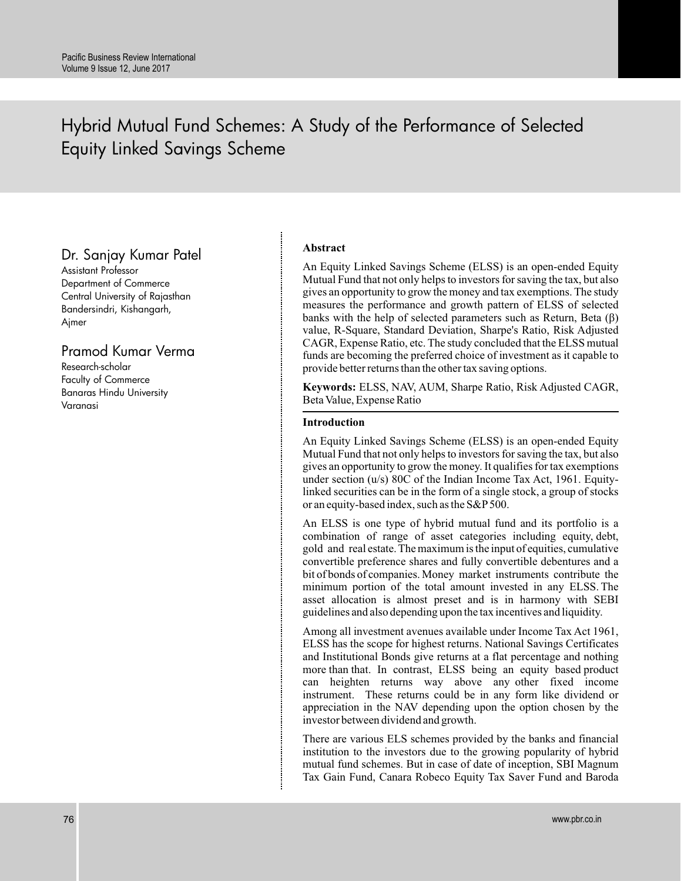# Hybrid Mutual Fund Schemes: A Study of the Performance of Selected Equity Linked Savings Scheme

# Dr. Sanjay Kumar Patel

Assistant Professor Department of Commerce Central University of Rajasthan Bandersindri, Kishangarh, Ajmer

# Pramod Kumar Verma

Research-scholar Faculty of Commerce Banaras Hindu University Varanasi

# **Abstract**

An Equity Linked Savings Scheme (ELSS) is an open-ended Equity Mutual Fund that not only helps to investors for saving the tax, but also gives an opportunity to grow the money and tax exemptions. The study measures the performance and growth pattern of ELSS of selected banks with the help of selected parameters such as Return, Beta  $(\beta)$ value, R-Square, Standard Deviation, Sharpe's Ratio, Risk Adjusted CAGR, Expense Ratio, etc. The study concluded that the ELSS mutual funds are becoming the preferred choice of investment as it capable to provide better returns than the other tax saving options.

**Keywords:** ELSS, NAV, AUM, Sharpe Ratio, Risk Adjusted CAGR, Beta Value, Expense Ratio

# **Introduction**

An Equity Linked Savings Scheme (ELSS) is an open-ended Equity Mutual Fund that not only helps to investors for saving the tax, but also gives an opportunity to grow the money. It qualifies for tax exemptions under section (u/s) 80C of the Indian Income Tax Act, 1961. Equitylinked securities can be in the form of a single stock, a group of stocks or an equity-based index, such as the S&P 500.

An ELSS is one type of hybrid mutual fund and its portfolio is a combination of range of asset categories including equity, debt, gold and real estate. The maximum is the input of equities, cumulative convertible preference shares and fully convertible debentures and a bit of bonds of companies. Money market instruments contribute the minimum portion of the total amount invested in any ELSS. The asset allocation is almost preset and is in harmony with SEBI guidelines and also depending upon the tax incentives and liquidity.

Among all investment avenues available under Income Tax Act 1961, ELSS has the scope for highest returns. National Savings Certificates and Institutional Bonds give returns at a flat percentage and nothing more than that. In contrast, ELSS being an equity based product can heighten returns way above any other fixed income instrument. These returns could be in any form like dividend or appreciation in the NAV depending upon the option chosen by the investor between dividend and growth.

There are various ELS schemes provided by the banks and financial institution to the investors due to the growing popularity of hybrid mutual fund schemes. But in case of date of inception, SBI Magnum Tax Gain Fund, Canara Robeco Equity Tax Saver Fund and Baroda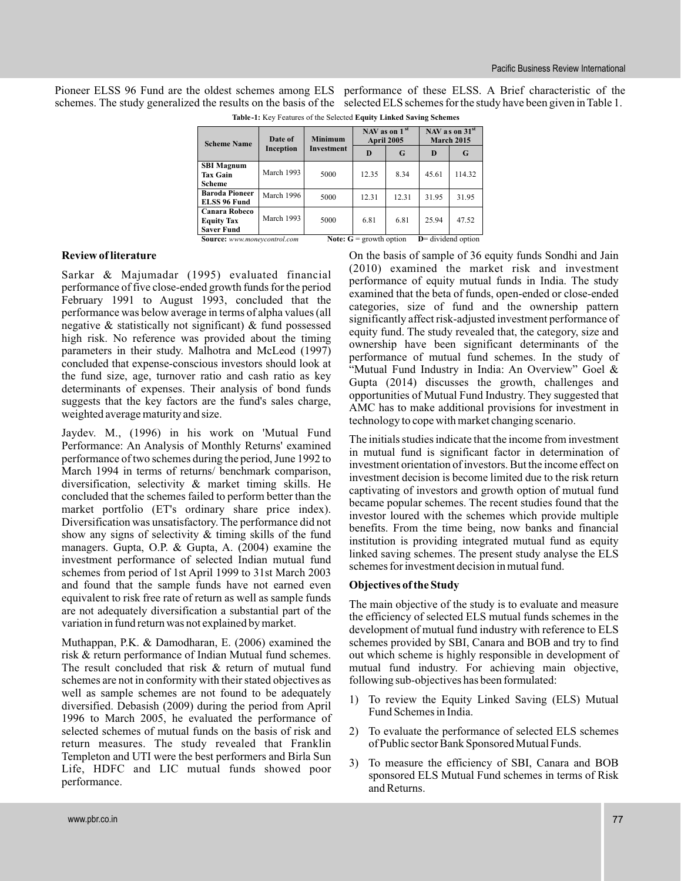Pioneer ELSS 96 Fund are the oldest schemes among ELS performance of these ELSS. A Brief characteristic of the schemes. The study generalized the results on the basis of the selected ELS schemes for the study have been given in Table 1.

| <b>Scheme Name</b>                  | Date of    | <b>Minimum</b> | April 2005                       | NAV as on $1st$ | NAV as on $31st$<br><b>March 2015</b> |        |  |
|-------------------------------------|------------|----------------|----------------------------------|-----------------|---------------------------------------|--------|--|
|                                     | Inception  | Investment     | D                                | G               | D                                     | G      |  |
| <b>SBI Magnum</b>                   |            |                |                                  |                 |                                       |        |  |
| <b>Tax Gain</b>                     | March 1993 | 5000           | 12.35                            | 8.34            | 45.61                                 | 114.32 |  |
| <b>Scheme</b>                       |            |                |                                  |                 |                                       |        |  |
| <b>Baroda Pioneer</b>               | March 1996 |                | 12.31                            | 12.31           | 31.95                                 | 31.95  |  |
| <b>ELSS 96 Fund</b>                 |            | 5000           |                                  |                 |                                       |        |  |
| Canara Robeco                       |            |                | 6.81                             | 6.81            |                                       |        |  |
| <b>Equity Tax</b>                   | March 1993 | 5000           |                                  |                 | 25.94                                 | 47.52  |  |
| <b>Saver Fund</b>                   |            |                |                                  |                 |                                       |        |  |
| <b>Source:</b> www.moneycontrol.com |            |                | <b>Note:</b> $G =$ growth option |                 | $D$ = dividend option                 |        |  |

**Table-1:** Key Features of the Selected **Equity Linked Saving Schemes**

#### **Review of literature**

Sarkar & Majumadar (1995) evaluated financial performance of five close-ended growth funds for the period February 1991 to August 1993, concluded that the performance was below average in terms of alpha values (all negative & statistically not significant) & fund possessed high risk. No reference was provided about the timing parameters in their study. Malhotra and McLeod (1997) concluded that expense-conscious investors should look at the fund size, age, turnover ratio and cash ratio as key determinants of expenses. Their analysis of bond funds suggests that the key factors are the fund's sales charge, weighted average maturity and size.

Jaydev. M., (1996) in his work on 'Mutual Fund Performance: An Analysis of Monthly Returns' examined performance of two schemes during the period, June 1992 to March 1994 in terms of returns/ benchmark comparison, diversification, selectivity & market timing skills. He concluded that the schemes failed to perform better than the market portfolio (ET's ordinary share price index). Diversification was unsatisfactory. The performance did not show any signs of selectivity & timing skills of the fund managers. Gupta, O.P. & Gupta, A. (2004) examine the investment performance of selected Indian mutual fund schemes from period of 1st April 1999 to 31st March 2003 and found that the sample funds have not earned even equivalent to risk free rate of return as well as sample funds are not adequately diversification a substantial part of the variation in fund return was not explained by market.

Muthappan, P.K. & Damodharan, E. (2006) examined the risk & return performance of Indian Mutual fund schemes. The result concluded that risk & return of mutual fund schemes are not in conformity with their stated objectives as well as sample schemes are not found to be adequately diversified. Debasish (2009) during the period from April 1996 to March 2005, he evaluated the performance of selected schemes of mutual funds on the basis of risk and return measures. The study revealed that Franklin Templeton and UTI were the best performers and Birla Sun Life, HDFC and LIC mutual funds showed poor performance.

On the basis of sample of 36 equity funds Sondhi and Jain (2010) examined the market risk and investment performance of equity mutual funds in India. The study examined that the beta of funds, open-ended or close-ended categories, size of fund and the ownership pattern significantly affect risk-adjusted investment performance of equity fund. The study revealed that, the category, size and ownership have been significant determinants of the performance of mutual fund schemes. In the study of "Mutual Fund Industry in India: An Overview" Goel & Gupta (2014) discusses the growth, challenges and opportunities of Mutual Fund Industry. They suggested that AMC has to make additional provisions for investment in technology to cope with market changing scenario.

The initials studies indicate that the income from investment in mutual fund is significant factor in determination of investment orientation of investors. But the income effect on investment decision is become limited due to the risk return captivating of investors and growth option of mutual fund became popular schemes. The recent studies found that the investor loured with the schemes which provide multiple benefits. From the time being, now banks and financial institution is providing integrated mutual fund as equity linked saving schemes. The present study analyse the ELS schemes for investment decision in mutual fund.

#### **Objectives of the Study**

The main objective of the study is to evaluate and measure the efficiency of selected ELS mutual funds schemes in the development of mutual fund industry with reference to ELS schemes provided by SBI, Canara and BOB and try to find out which scheme is highly responsible in development of mutual fund industry. For achieving main objective, following sub-objectives has been formulated:

- 1) To review the Equity Linked Saving (ELS) Mutual Fund Schemes in India.
- 2) To evaluate the performance of selected ELS schemes of Public sector Bank Sponsored Mutual Funds.
- 3) To measure the efficiency of SBI, Canara and BOB sponsored ELS Mutual Fund schemes in terms of Risk and Returns.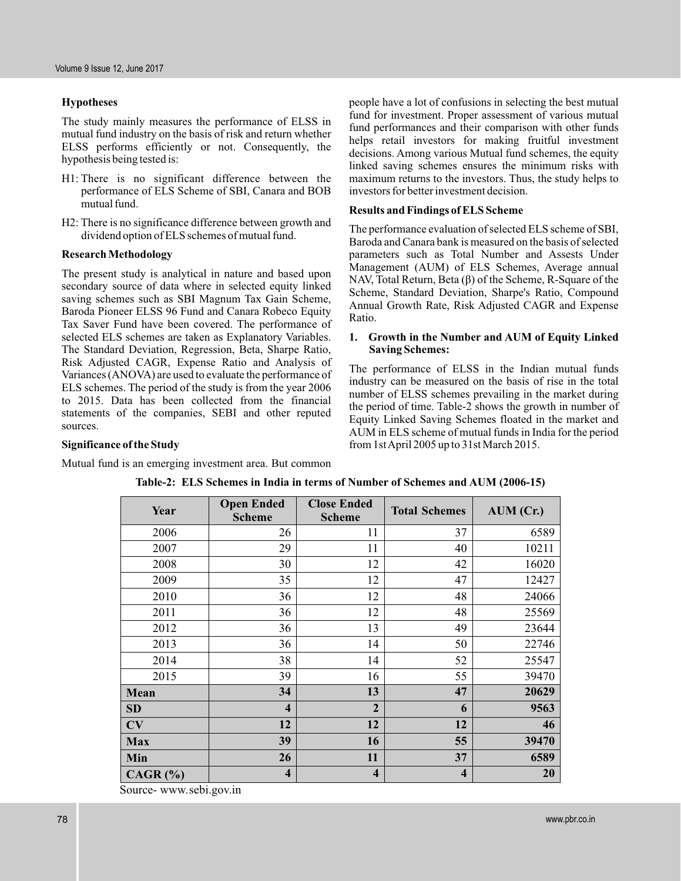# **Hypotheses**

The study mainly measures the performance of ELSS in mutual fund industry on the basis of risk and return whether ELSS performs efficiently or not. Consequently, the hypothesis being tested is:

- H1: There is no significant difference between the performance of ELS Scheme of SBI, Canara and BOB mutual fund.
- H2: There is no significance difference between growth and dividend option of ELS schemes of mutual fund.

## **Research Methodology**

The present study is analytical in nature and based upon secondary source of data where in selected equity linked saving schemes such as SBI Magnum Tax Gain Scheme, Baroda Pioneer ELSS 96 Fund and Canara Robeco Equity Tax Saver Fund have been covered. The performance of selected ELS schemes are taken as Explanatory Variables. The Standard Deviation, Regression, Beta, Sharpe Ratio, Risk Adjusted CAGR, Expense Ratio and Analysis of Variances (ANOVA) are used to evaluate the performance of ELS schemes. The period of the study is from the year 2006 to 2015. Data has been collected from the financial statements of the companies, SEBI and other reputed sources.

people have a lot of confusions in selecting the best mutual fund for investment. Proper assessment of various mutual fund performances and their comparison with other funds helps retail investors for making fruitful investment decisions. Among various Mutual fund schemes, the equity linked saving schemes ensures the minimum risks with maximum returns to the investors. Thus, the study helps to investors for better investment decision.

# **Results and Findings of ELS Scheme**

The performance evaluation of selected ELS scheme of SBI, Baroda and Canara bank is measured on the basis of selected parameters such as Total Number and Assests Under Management (AUM) of ELS Schemes, Average annual NAV, Total Return, Beta  $(\beta)$  of the Scheme, R-Square of the Scheme, Standard Deviation, Sharpe's Ratio, Compound Annual Growth Rate, Risk Adjusted CAGR and Expense Ratio.

## **1. Growth in the Number and AUM of Equity Linked Saving Schemes:**

The performance of ELSS in the Indian mutual funds industry can be measured on the basis of rise in the total number of ELSS schemes prevailing in the market during the period of time. Table-2 shows the growth in number of Equity Linked Saving Schemes floated in the market and AUM in ELS scheme of mutual funds in India for the period from 1stApril 2005 up to 31st March 2015.

# **Significance of the Study**

Mutual fund is an emerging investment area. But common

| Year                      | <b>Open Ended</b><br><b>Scheme</b> | <b>Close Ended</b><br><b>Scheme</b> | <b>Total Schemes</b>    | $AUM$ (Cr.) |
|---------------------------|------------------------------------|-------------------------------------|-------------------------|-------------|
| 2006                      | 26                                 | 11                                  | 37                      | 6589        |
| 2007                      | 29                                 | 11                                  | 40                      | 10211       |
| 2008                      | 30                                 | 12                                  | 42                      | 16020       |
| 2009                      | 35                                 | 12                                  | 47                      | 12427       |
| 2010                      | 36                                 | 12                                  | 48                      | 24066       |
| 2011                      | 36                                 | 12                                  | 48                      | 25569       |
| 2012                      | 36                                 | 13                                  | 49                      | 23644       |
| 2013                      | 36                                 | 14                                  | 50                      | 22746       |
| 2014                      | 38                                 | 14                                  | 52                      | 25547       |
| 2015                      | 39                                 | 16                                  | 55                      | 39470       |
| Mean                      | 34                                 | 13                                  | 47                      | 20629       |
| SD                        | $\overline{\mathbf{4}}$            | $\overline{2}$                      | 6                       | 9563        |
| CV                        | 12                                 | 12                                  | 12                      | 46          |
| <b>Max</b>                | 39                                 | 16                                  | 55                      | 39470       |
| Min                       | 26                                 | 11                                  | 37                      | 6589        |
| $CAGR$ $(%)$<br>$\bullet$ | $\overline{\mathbf{4}}$            | $\overline{\mathbf{4}}$             | $\overline{\mathbf{4}}$ | 20          |

**Table-2: ELS Schemes in India in terms of Number of Schemes and AUM (2006-15)**

Source- www.sebi.gov.in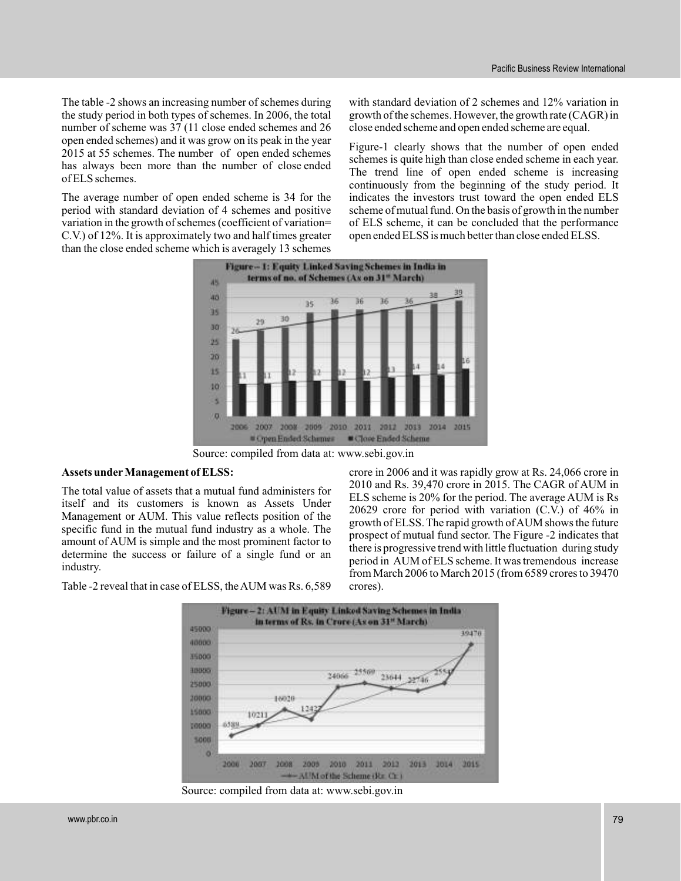The table -2 shows an increasing number of schemes during the study period in both types of schemes. In 2006, the total number of scheme was 37 (11 close ended schemes and 26 open ended schemes) and it was grow on its peak in the year 2015 at 55 schemes. The number of open ended schemes has always been more than the number of close ended of ELS schemes.

The average number of open ended scheme is 34 for the period with standard deviation of 4 schemes and positive variation in the growth of schemes (coefficient of variation= C.V.) of 12%. It is approximately two and half times greater than the close ended scheme which is averagely 13 schemes

with standard deviation of 2 schemes and 12% variation in growth of the schemes. However, the growth rate (CAGR) in close ended scheme and open ended scheme are equal.

Figure-1 clearly shows that the number of open ended schemes is quite high than close ended scheme in each year. The trend line of open ended scheme is increasing continuously from the beginning of the study period. It indicates the investors trust toward the open ended ELS scheme of mutual fund. On the basis of growth in the number of ELS scheme, it can be concluded that the performance open ended ELSS is much better than close ended ELSS.



Source: compiled from data at: www.sebi.gov.in

#### **Assets under Management of ELSS:**

The total value of assets that a mutual fund administers for itself and its customers is known as Assets Under Management or AUM. This value reflects position of the specific fund in the mutual fund industry as a whole. The amount of AUM is simple and the most prominent factor to determine the success or failure of a single fund or an industry.

crore in 2006 and it was rapidly grow at Rs. 24,066 crore in 2010 and Rs. 39,470 crore in 2015. The CAGR of AUM in ELS scheme is 20% for the period. The average AUM is Rs 20629 crore for period with variation (C.V.) of 46% in growth of ELSS. The rapid growth ofAUM shows the future prospect of mutual fund sector. The Figure -2 indicates that there is progressive trend with little fluctuation during study period in AUM of ELS scheme. It was tremendous increase from March 2006 to March 2015 (from 6589 crores to 39470 crores).





Source: compiled from data at: www.sebi.gov.in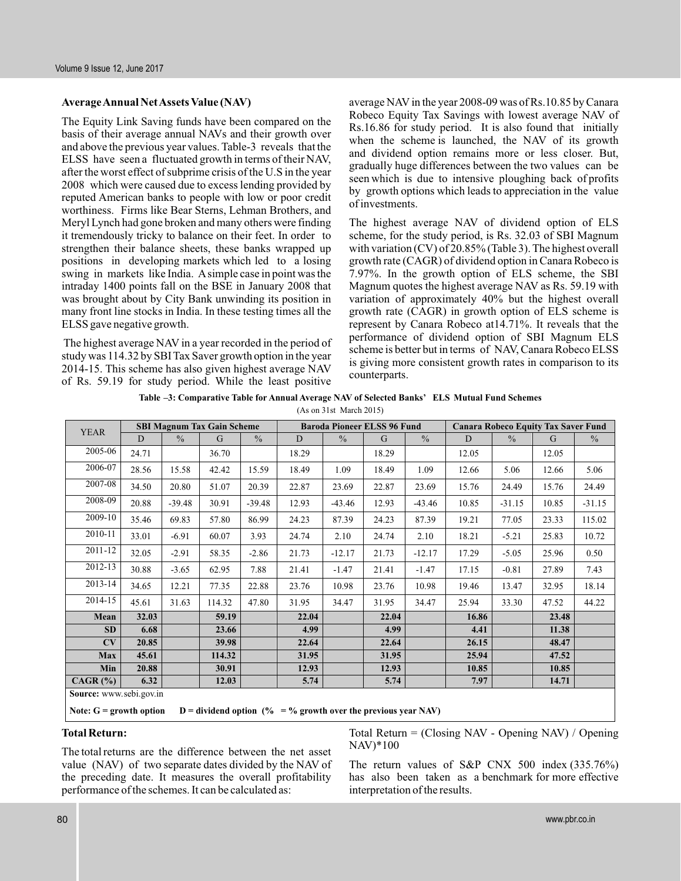#### **AverageAnnual NetAssets Value (NAV)**

The Equity Link Saving funds have been compared on the basis of their average annual NAVs and their growth over and above the previous year values. Table-3 reveals that the ELSS have seen a fluctuated growth in terms of their NAV, after the worst effect of subprime crisis of the U.S in the year 2008 which were caused due to excess lending provided by reputed American banks to people with low or poor credit worthiness. Firms like Bear Sterns, Lehman Brothers, and Meryl Lynch had gone broken and many others were finding it tremendously tricky to balance on their feet. In order to strengthen their balance sheets, these banks wrapped up positions in developing markets which led to a losing swing in markets like India. A simple case in point was the intraday 1400 points fall on the BSE in January 2008 that was brought about by City Bank unwinding its position in many front line stocks in India. In these testing times all the ELSS gave negative growth.

The highest average NAV in a year recorded in the period of study was 114.32 by SBI Tax Saver growth option in the year 2014-15. This scheme has also given highest average NAV of Rs. 59.19 for study period. While the least positive

average NAV in the year 2008-09 was of Rs.10.85 by Canara Robeco Equity Tax Savings with lowest average NAV of Rs.16.86 for study period. It is also found that initially when the scheme is launched, the NAV of its growth and dividend option remains more or less closer. But, gradually huge differences between the two values can be seen which is due to intensive ploughing back of profits by growth options which leads to appreciation in the value of investments.

The highest average NAV of dividend option of ELS scheme, for the study period, is Rs. 32.03 of SBI Magnum with variation (CV) of 20.85% (Table 3). The highest overall growth rate (CAGR) of dividend option in Canara Robeco is 7.97%. In the growth option of ELS scheme, the SBI Magnum quotes the highest average NAV as Rs. 59.19 with variation of approximately 40% but the highest overall growth rate (CAGR) in growth option of ELS scheme is represent by Canara Robeco at14.71%. It reveals that the performance of dividend option of SBI Magnum ELS scheme is better but in terms of NAV, Canara Robeco ELSS is giving more consistent growth rates in comparison to its counterparts.

| Table -3: Comparative Table for Annual Average NAV of Selected Banks' ELS Mutual Fund Schemes |  |
|-----------------------------------------------------------------------------------------------|--|
| (As on 31st March 2015)                                                                       |  |

| <b>YEAR</b>             |                |               | <b>SBI Magnum Tax Gain Scheme</b> |               |       |               | <b>Baroda Pioneer ELSS 96 Fund</b> |               |       |               | <b>Canara Robeco Equity Tax Saver Fund</b> |               |
|-------------------------|----------------|---------------|-----------------------------------|---------------|-------|---------------|------------------------------------|---------------|-------|---------------|--------------------------------------------|---------------|
|                         | $\overline{D}$ | $\frac{0}{0}$ | G                                 | $\frac{0}{0}$ | D     | $\frac{0}{0}$ | G                                  | $\frac{0}{0}$ | D     | $\frac{0}{0}$ | G                                          | $\frac{0}{0}$ |
| 2005-06                 | 24.71          |               | 36.70                             |               | 18.29 |               | 18.29                              |               | 12.05 |               | 12.05                                      |               |
| 2006-07                 | 28.56          | 15.58         | 42.42                             | 15.59         | 18.49 | 1.09          | 18.49                              | 1.09          | 12.66 | 5.06          | 12.66                                      | 5.06          |
| 2007-08                 | 34.50          | 20.80         | 51.07                             | 20.39         | 22.87 | 23.69         | 22.87                              | 23.69         | 15.76 | 24.49         | 15.76                                      | 24.49         |
| 2008-09                 | 20.88          | $-39.48$      | 30.91                             | $-39.48$      | 12.93 | $-43.46$      | 12.93                              | $-43.46$      | 10.85 | $-31.15$      | 10.85                                      | $-31.15$      |
| 2009-10                 | 35.46          | 69.83         | 57.80                             | 86.99         | 24.23 | 87.39         | 24.23                              | 87.39         | 19.21 | 77.05         | 23.33                                      | 115.02        |
| 2010-11                 | 33.01          | $-6.91$       | 60.07                             | 3.93          | 24.74 | 2.10          | 24.74                              | 2.10          | 18.21 | $-5.21$       | 25.83                                      | 10.72         |
| 2011-12                 | 32.05          | $-2.91$       | 58.35                             | $-2.86$       | 21.73 | $-12.17$      | 21.73                              | $-12.17$      | 17.29 | $-5.05$       | 25.96                                      | 0.50          |
| 2012-13                 | 30.88          | $-3.65$       | 62.95                             | 7.88          | 21.41 | $-1.47$       | 21.41                              | $-1.47$       | 17.15 | $-0.81$       | 27.89                                      | 7.43          |
| 2013-14                 | 34.65          | 12.21         | 77.35                             | 22.88         | 23.76 | 10.98         | 23.76                              | 10.98         | 19.46 | 13.47         | 32.95                                      | 18.14         |
| 2014-15                 | 45.61          | 31.63         | 114.32                            | 47.80         | 31.95 | 34.47         | 31.95                              | 34.47         | 25.94 | 33.30         | 47.52                                      | 44.22         |
| Mean                    | 32.03          |               | 59.19                             |               | 22.04 |               | 22.04                              |               | 16.86 |               | 23.48                                      |               |
| <b>SD</b>               | 6.68           |               | 23.66                             |               | 4.99  |               | 4.99                               |               | 4.41  |               | 11.38                                      |               |
| CV                      | 20.85          |               | 39.98                             |               | 22.64 |               | 22.64                              |               | 26.15 |               | 48.47                                      |               |
| Max                     | 45.61          |               | 114.32                            |               | 31.95 |               | 31.95                              |               | 25.94 |               | 47.52                                      |               |
| Min                     | 20.88          |               | 30.91                             |               | 12.93 |               | 12.93                              |               | 10.85 |               | 10.85                                      |               |
| $CAGR$ $(\% )$          | 6.32           |               | 12.03                             |               | 5.74  |               | 5.74                               |               | 7.97  |               | 14.71                                      |               |
| Source: www.sebi.gov.in |                |               |                                   |               |       |               |                                    |               |       |               |                                            |               |

**Note:** G = growth option D = dividend option  $(\% = \%$  growth over the previous year NAV)

#### **Total Return:**

The total returns are the difference between the net asset value (NAV) of two separate dates divided by the NAV of the preceding date. It measures the overall profitability performance of the schemes. It can be calculated as:

Total Return = (Closing NAV - Opening NAV) / Opening NAV)\*100

The return values of S&P CNX 500 index (335.76%) has also been taken as a benchmark for more effective interpretation of the results.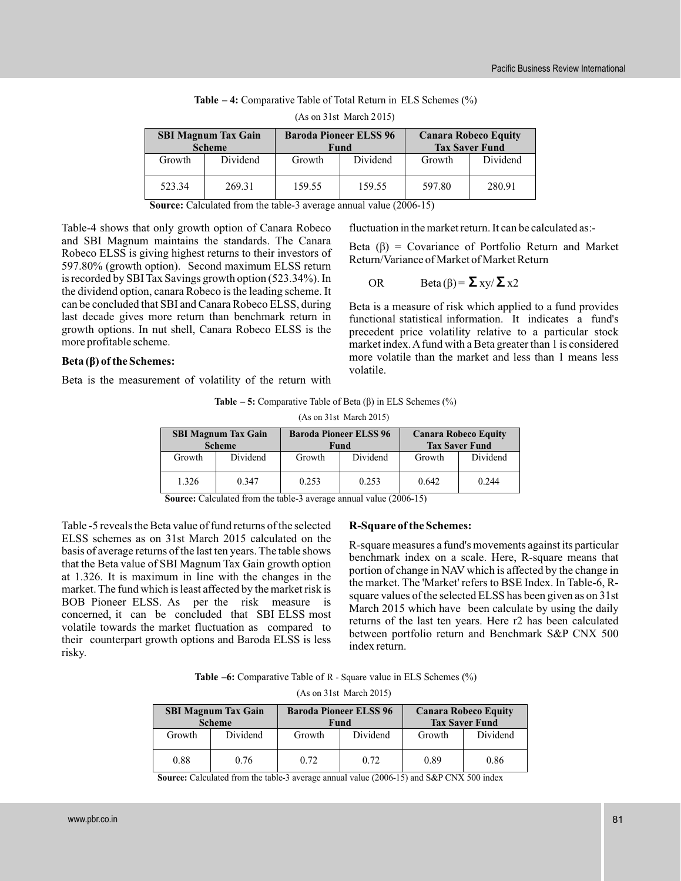| (As on 31st March 2015)                     |          |        |                                       |                                                      |          |  |  |  |  |
|---------------------------------------------|----------|--------|---------------------------------------|------------------------------------------------------|----------|--|--|--|--|
| <b>SBI Magnum Tax Gain</b><br><b>Scheme</b> |          |        | <b>Baroda Pioneer ELSS 96</b><br>Fund | <b>Canara Robeco Equity</b><br><b>Tax Saver Fund</b> |          |  |  |  |  |
| Growth                                      | Dividend | Growth | Dividend                              | Growth                                               | Dividend |  |  |  |  |
| 523.34                                      | 269.31   | 159.55 | 159.55                                | 597.80                                               | 280.91   |  |  |  |  |

| <b>Table <math>-4</math>:</b> Comparative Table of Total Return in ELS Schemes $(\%)$ |  |  |
|---------------------------------------------------------------------------------------|--|--|
|---------------------------------------------------------------------------------------|--|--|

 $(A \text{ s on } 21$ st March  $2.015$ 

**Source:** Calculated from the table-3 average annual value (2006-15)

Table-4 shows that only growth option of Canara Robeco and SBI Magnum maintains the standards. The Canara Robeco ELSS is giving highest returns to their investors of 597.80% (growth option). Second maximum ELSS return is recorded by SBI Tax Savings growth option (523.34%). In the dividend option, canara Robeco is the leading scheme. It can be concluded that SBI and Canara Robeco ELSS, during last decade gives more return than benchmark return in growth options. In nut shell, Canara Robeco ELSS is the more profitable scheme.

# **Beta** (β) of the Schemes:

Beta is the measurement of volatility of the return with

fluctuation in the market return. It can be calculated as:-

Beta  $(\beta)$  = Covariance of Portfolio Return and Market Return/Variance of Market of Market Return

OR Beta(
$$
\beta
$$
) =  $\sum xy/\sum x2$ 

Beta is a measure of risk which applied to a fund provides functional statistical information. It indicates a fund's precedent price volatility relative to a particular stock market index.A fund with a Beta greater than 1 is considered more volatile than the market and less than 1 means less volatile.

|                            | (AS ON 51SU March 2015) |        |                               |                             |          |  |  |  |  |  |
|----------------------------|-------------------------|--------|-------------------------------|-----------------------------|----------|--|--|--|--|--|
| <b>SBI Magnum Tax Gain</b> |                         |        | <b>Baroda Pioneer ELSS 96</b> | <b>Canara Robeco Equity</b> |          |  |  |  |  |  |
| <b>Scheme</b>              |                         |        | Fund                          | <b>Tax Saver Fund</b>       |          |  |  |  |  |  |
| Growth                     | Dividend                | Growth | Dividend                      | Growth                      | Dividend |  |  |  |  |  |
| 1.326                      | 0.347                   | 0.253  | 0.253                         | 0.642                       | 0.244    |  |  |  |  |  |

**Table – 5:** Comparative Table of Beta (β) in ELS Schemes (%)

 $(A<sub>0</sub>, m<sub>21st</sub>)$  March 2015)

**Source:** Calculated from the table-3 average annual value (2006-15)

Table -5 reveals the Beta value of fund returns of the selected ELSS schemes as on 31st March 2015 calculated on the basis of average returns of the last ten years. The table shows that the Beta value of SBI Magnum Tax Gain growth option at 1.326. It is maximum in line with the changes in the market. The fund which is least affected by the market risk is BOB Pioneer ELSS. As per the risk measure is concerned, it can be concluded that SBI ELSS most volatile towards the market fluctuation as compared to their counterpart growth options and Baroda ELSS is less risky.

# **R-Square of the Schemes:**

R-square measures a fund's movements against its particular benchmark index on a scale. Here, R-square means that portion of change in NAV which is affected by the change in the market. The 'Market' refers to BSE Index. In Table-6, Rsquare values of the selected ELSS has been given as on 31st March 2015 which have been calculate by using the daily returns of the last ten years. Here r2 has been calculated between portfolio return and Benchmark S&P CNX 500 index return.

**Table –6:** Comparative Table of R - Square value in ELS Schemes (%)

(As on 31st March 2015)

| <b>SBI Magnum Tax Gain</b><br><b>Scheme</b> |          | <b>Baroda Pioneer ELSS 96</b> | Fund     | <b>Canara Robeco Equity</b><br><b>Tax Saver Fund</b> |          |  |
|---------------------------------------------|----------|-------------------------------|----------|------------------------------------------------------|----------|--|
| Growth                                      | Dividend | Growth                        | Dividend | Growth                                               | Dividend |  |
| 0.88                                        | 0.76     | 0.72                          | 0.72     | 0.89                                                 | 0.86     |  |

**Source:** Calculated from the table-3 average annual value (2006-15) and S&P CNX 500 index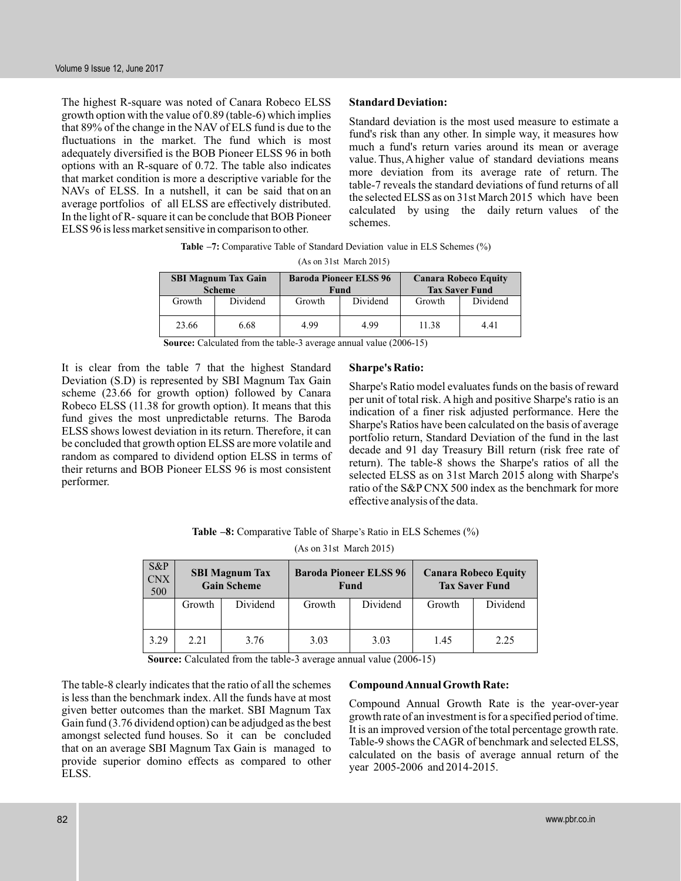The highest R-square was noted of Canara Robeco ELSS growth option with the value of 0.89 (table-6) which implies that 89% of the change in the NAV of ELS fund is due to the fluctuations in the market. The fund which is most adequately diversified is the BOB Pioneer ELSS 96 in both options with an R-square of 0.72. The table also indicates that market condition is more a descriptive variable for the NAVs of ELSS. In a nutshell, it can be said that on an average portfolios of all ELSS are effectively distributed. In the light of R- square it can be conclude that BOB Pioneer ELSS 96 is less market sensitive in comparison to other.

# **Standard Deviation:**

Standard deviation is the most used measure to estimate a fund's risk than any other. In simple way, it measures how much a fund's return varies around its mean or average value. Thus,A higher value of standard deviations means more deviation from its average rate of return. The table-7 reveals the standard deviations of fund returns of all the selected ELSS as on 31st March 2015 which have been calculated by using the daily return values of the schemes.

| <b>Table -7:</b> Comparative Table of Standard Deviation value in ELS Schemes (%) |  |
|-----------------------------------------------------------------------------------|--|
| $(A - 2L - 2L + M + L)$                                                           |  |

| (AS 011 5 ISU MARCH 2013)  |          |        |                               |                       |                             |  |  |  |  |
|----------------------------|----------|--------|-------------------------------|-----------------------|-----------------------------|--|--|--|--|
| <b>SBI Magnum Tax Gain</b> |          |        | <b>Baroda Pioneer ELSS 96</b> |                       | <b>Canara Robeco Equity</b> |  |  |  |  |
| <b>Scheme</b>              |          |        | Fund                          | <b>Tax Saver Fund</b> |                             |  |  |  |  |
| Growth                     | Dividend | Growth | Dividend                      | Growth                | Dividend                    |  |  |  |  |
| 23.66                      | 6.68     | 4.99   | 4.99                          | 11.38                 | 4.41                        |  |  |  |  |

**Source:** Calculated from the table-3 average annual value (2006-15)

It is clear from the table 7 that the highest Standard Deviation (S.D) is represented by SBI Magnum Tax Gain scheme (23.66 for growth option) followed by Canara Robeco ELSS (11.38 for growth option). It means that this fund gives the most unpredictable returns. The Baroda ELSS shows lowest deviation in its return. Therefore, it can be concluded that growth option ELSS are more volatile and random as compared to dividend option ELSS in terms of their returns and BOB Pioneer ELSS 96 is most consistent performer.

#### **Sharpe's Ratio:**

Sharpe's Ratio model evaluates funds on the basis of reward per unit of total risk. A high and positive Sharpe's ratio is an indication of a finer risk adjusted performance. Here the Sharpe's Ratios have been calculated on the basis of average portfolio return, Standard Deviation of the fund in the last decade and 91 day Treasury Bill return (risk free rate of return). The table-8 shows the Sharpe's ratios of all the selected ELSS as on 31st March 2015 along with Sharpe's ratio of the S&P CNX 500 index as the benchmark for more effective analysis of the data.

**Table –8:** Comparative Table of Sharpe's Ratio in ELS Schemes (%)

(As on 31st March 2015)

| $S\&P$<br><b>CNX</b><br>500 | <b>SBI Magnum Tax</b><br><b>Gain Scheme</b> |          |        | <b>Baroda Pioneer ELSS 96</b><br>Fund | <b>Canara Robeco Equity</b><br><b>Tax Saver Fund</b> |          |  |
|-----------------------------|---------------------------------------------|----------|--------|---------------------------------------|------------------------------------------------------|----------|--|
|                             | Growth                                      | Dividend | Growth | Dividend                              | Growth                                               | Dividend |  |
| 3.29                        | 2.21                                        | 3.76     | 3.03   | 3.03                                  | 1.45                                                 | 2.25     |  |

**Source:** Calculated from the table-3 average annual value (2006-15)

The table-8 clearly indicates that the ratio of all the schemes is less than the benchmark index. All the funds have at most given better outcomes than the market. SBI Magnum Tax Gain fund (3.76 dividend option) can be adjudged as the best amongst selected fund houses. So it can be concluded that on an average SBI Magnum Tax Gain is managed to provide superior domino effects as compared to other ELSS.

# **CompoundAnnual Growth Rate:**

Compound Annual Growth Rate is the year-over-year growth rate of an investment is for a specified period of time. It is an improved version of the total percentage growth rate. Table-9 shows the CAGR of benchmark and selected ELSS, calculated on the basis of average annual return of the year 2005-2006 and 2014-2015.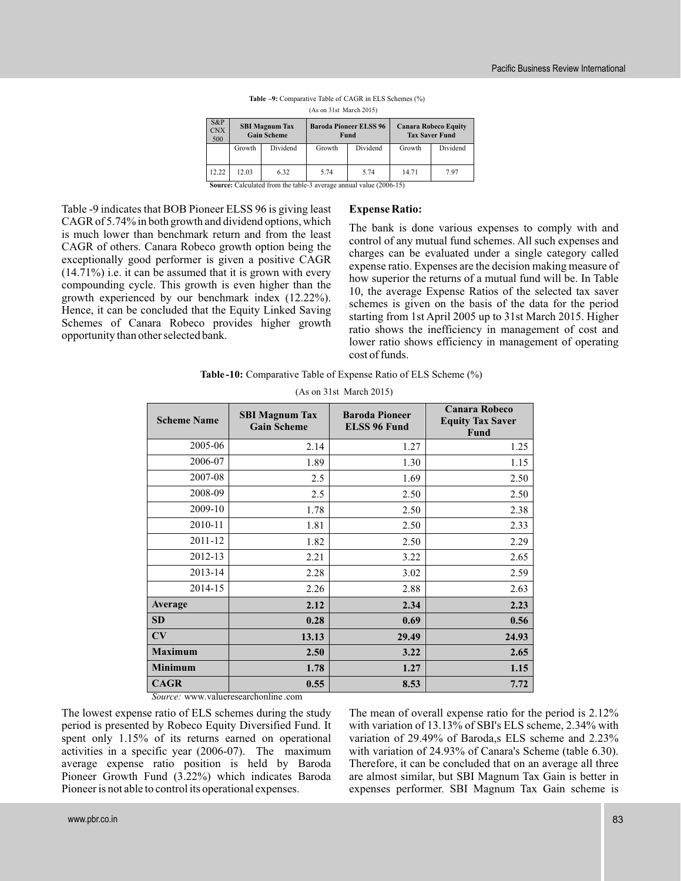| $S\&P$<br><b>CNX</b><br>500 | <b>SBI Magnum Tax</b><br><b>Gain Scheme</b> |                                                                                                                   |        | <b>Baroda Pioneer ELSS 96</b><br>Fund | <b>Canara Robeco Equity</b><br><b>Tax Saver Fund</b> |          |  |
|-----------------------------|---------------------------------------------|-------------------------------------------------------------------------------------------------------------------|--------|---------------------------------------|------------------------------------------------------|----------|--|
|                             | Growth                                      | Dividend                                                                                                          | Growth | Dividend                              | Growth                                               | Dividend |  |
| 12.22                       | 12.03                                       | 6.32<br>$0, \ldots, 0, 1, 1, \ldots, 1, 0, \ldots, 1, 1, 1, 0, \ldots, 1, 1, \ldots, 1, \ldots, 1, 0, 0, 0, 1, 0$ | 5.74   | 5.74                                  | 14.71                                                | 7.97     |  |

| <b>Table -9:</b> Comparative Table of CAGR in ELS Schemes (%) |                         |  |
|---------------------------------------------------------------|-------------------------|--|
|                                                               | (As on 31st March 2015) |  |

**Source:** Calculate: ted from the table-3 average annual value (2006-15)

Table -9 indicates that BOB Pioneer ELSS 96 is giving least CAGR of 5.74% in both growth and dividend options, which is much lower than benchmark return and from the least CAGR of others. Canara Robeco growth option being the exceptionally good performer is given a positive CAGR (14.71%) i.e. it can be assumed that it is grown with every compounding cycle. This growth is even higher than the growth experienced by our benchmark index (12.22%). Hence, it can be concluded that the Equity Linked Saving Schemes of Canara Robeco provides higher growth opportunity than other selected bank.

#### **Expense Ratio:**

The bank is done various expenses to comply with and control of any mutual fund schemes. All such expenses and charges can be evaluated under a single category called expense ratio. Expenses are the decision making measure of how superior the returns of a mutual fund will be. In Table 10, the average Expense Ratios of the selected tax saver schemes is given on the basis of the data for the period starting from 1st April 2005 up to 31st March 2015. Higher ratio shows the inefficiency in management of cost and lower ratio shows efficiency in management of operating cost of funds.

**Table -10:** Comparative Table of Expense Ratio of ELS Scheme (%)

| <b>Scheme Name</b> | <b>SBI Magnum Tax</b><br><b>Gain Scheme</b> | <b>Baroda Pioneer</b><br><b>ELSS 96 Fund</b> | <b>Canara Robeco</b><br><b>Equity Tax Saver</b><br><b>Fund</b> |  |
|--------------------|---------------------------------------------|----------------------------------------------|----------------------------------------------------------------|--|
| 2005-06            | 2.14                                        | 1.27                                         | 1.25                                                           |  |
| 2006-07            | 1.89                                        | 1.30                                         | 1.15                                                           |  |
| 2007-08            | 2.5                                         | 1.69                                         | 2.50                                                           |  |
| 2008-09            | 2.5                                         | 2.50                                         | 2.50                                                           |  |
| 2009-10            | 1.78                                        | 2.50                                         | 2.38                                                           |  |
| 2010-11            | 1.81                                        | 2.50                                         | 2.33                                                           |  |
| 2011-12            | 1.82                                        | 2.50                                         | 2.29                                                           |  |
| 2012-13            | 2.21                                        | 3.22                                         | 2.65                                                           |  |
| 2013-14            | 2.28                                        | 3.02                                         | 2.59                                                           |  |
| 2014-15            | 2.26                                        | 2.88                                         | 2.63                                                           |  |
| Average            | 2.12                                        | 2.34                                         | 2.23                                                           |  |
| <b>SD</b>          | 0.28                                        | 0.69                                         | 0.56                                                           |  |
| CV                 | 13.13                                       | 29.49                                        | 24.93                                                          |  |
| <b>Maximum</b>     | 2.50                                        | 3.22                                         | 2.65                                                           |  |
| <b>Minimum</b>     | 1.78                                        | 1.27                                         | 1.15                                                           |  |
| <b>CAGR</b>        | 0.55                                        | 8.53                                         | 7.72                                                           |  |

(As on 31st March 2015)

*Source:* www.valueresearchonline .com

The lowest expense ratio of ELS schemes during the study period is presented by Robeco Equity Diversified Fund. It spent only 1.15% of its returns earned on operational activities in a specific year (2006-07). The maximum average expense ratio position is held by Baroda Pioneer Growth Fund (3.22%) which indicates Baroda Pioneer is not able to control its operational expenses.

The mean of overall expense ratio for the period is 2.12% with variation of 13.13% of SBI's ELS scheme, 2.34% with variation of 29.49% of Baroda,s ELS scheme and 2.23% with variation of 24.93% of Canara's Scheme (table 6.30). Therefore, it can be concluded that on an average all three are almost similar, but SBI Magnum Tax Gain is better in expenses performer. SBI Magnum Tax Gain scheme is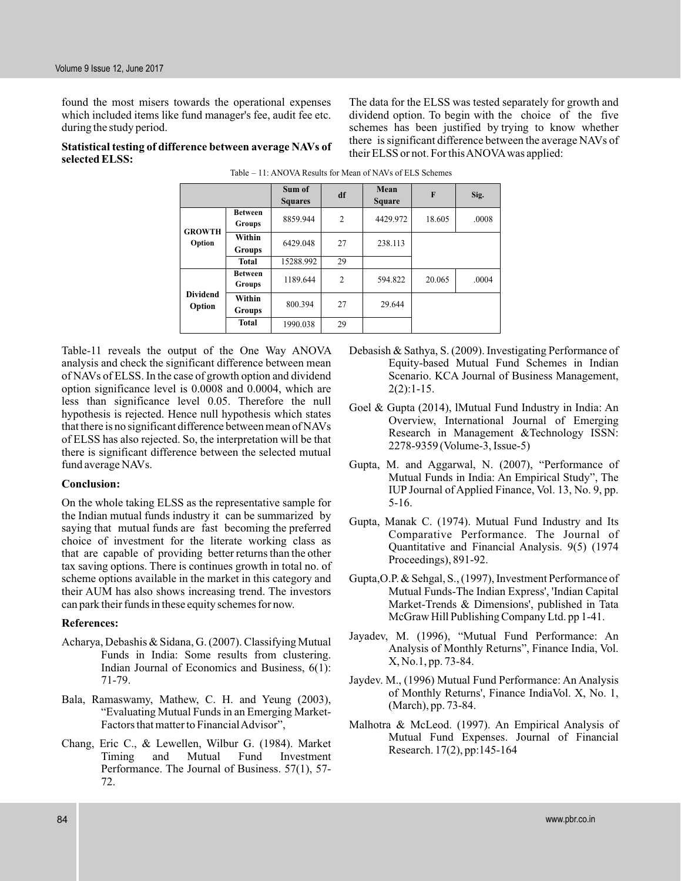**selected ELSS:**

found the most misers towards the operational expenses which included items like fund manager's fee, audit fee etc. during the study period.

The data for the ELSS was tested separately for growth and dividend option. To begin with the choice of the five schemes has been justified by trying to know whether there is significant difference between the average NAVs of their ELSS or not. For thisANOVAwas applied: **Statistical testing of difference between average NAVs of**

|                           |                          | Sum of<br><b>Squares</b> | df             | Mean<br><b>Square</b> | $\mathbf{F}$ | Sig.  |
|---------------------------|--------------------------|--------------------------|----------------|-----------------------|--------------|-------|
| <b>GROWTH</b><br>Option   | <b>Between</b><br>Groups | 8859.944                 | $\overline{2}$ | 4429.972              | 18.605       | .0008 |
|                           | Within<br>Groups         | 6429.048                 | 27             | 238.113               |              |       |
|                           | <b>Total</b>             | 15288.992                | 29             |                       |              |       |
| <b>Dividend</b><br>Option | <b>Between</b><br>Groups | 1189.644                 | $\overline{2}$ | 594.822               | 20.065       | .0004 |
|                           | Within<br>Groups         | 800.394                  | 27             | 29.644                |              |       |
|                           | <b>Total</b>             | 1990.038                 | 29             |                       |              |       |

Table – 11: ANOVA Results for Mean of NAVs of ELS Schemes

Table-11 reveals the output of the One Way ANOVA analysis and check the significant difference between mean of NAVs of ELSS. In the case of growth option and dividend option significance level is 0.0008 and 0.0004, which are less than significance level 0.05. Therefore the null hypothesis is rejected. Hence null hypothesis which states that there is no significant difference between mean of NAVs of ELSS has also rejected. So, the interpretation will be that there is significant difference between the selected mutual fund average NAVs.

#### **Conclusion:**

On the whole taking ELSS as the representative sample for the Indian mutual funds industry it can be summarized by saying that mutual funds are fast becoming the preferred choice of investment for the literate working class as that are capable of providing better returns than the other tax saving options. There is continues growth in total no. of scheme options available in the market in this category and their AUM has also shows increasing trend. The investors can park their funds in these equity schemes for now.

#### **References:**

- Acharya, Debashis & Sidana, G. (2007). Classifying Mutual Funds in India: Some results from clustering. Indian Journal of Economics and Business, 6(1): 71-79.
- Bala, Ramaswamy, Mathew, C. H. and Yeung (2003), "Evaluating Mutual Funds in an Emerging Market-Factors that matter to Financial Advisor",
- Chang, Eric C., & Lewellen, Wilbur G. (1984). Market Timing and Mutual Fund Investment Performance. The Journal of Business. 57(1), 57- 72.
- Debasish & Sathya, S. (2009). Investigating Performance of Equity-based Mutual Fund Schemes in Indian Scenario. KCA Journal of Business Management,  $2(2):1-15.$
- Goel & Gupta (2014), lMutual Fund Industry in India: An Overview, International Journal of Emerging Research in Management &Technology ISSN: 2278-9359 (Volume-3, Issue-5)
- Gupta, M. and Aggarwal, N. (2007), "Performance of Mutual Funds in India: An Empirical Study", The IUP Journal of Applied Finance, Vol. 13, No. 9, pp. 5-16.
- Gupta, Manak C. (1974). Mutual Fund Industry and Its Comparative Performance. The Journal of Quantitative and Financial Analysis. 9(5) (1974 Proceedings), 891-92.
- Gupta,O.P. & Sehgal, S., (1997), Investment Performance of Mutual Funds-The Indian Express', 'Indian Capital Market-Trends & Dimensions', published in Tata McGraw Hill Publishing Company Ltd. pp 1-41.
- Jayadev, M. (1996), "Mutual Fund Performance: An Analysis of Monthly Returns", Finance India, Vol. X, No.1, pp. 73-84.
- Jaydev. M., (1996) Mutual Fund Performance: An Analysis of Monthly Returns', Finance IndiaVol. X, No. 1, (March), pp. 73-84.
- Malhotra & McLeod. (1997). An Empirical Analysis of Mutual Fund Expenses. Journal of Financial Research. 17(2), pp:145-164